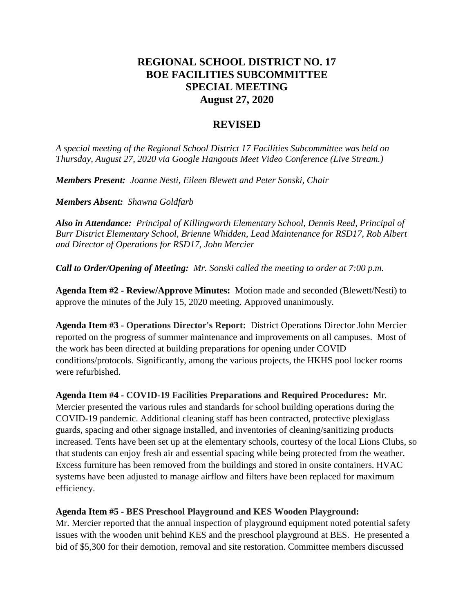# **REGIONAL SCHOOL DISTRICT NO. 17 BOE FACILITIES SUBCOMMITTEE SPECIAL MEETING August 27, 2020**

## **REVISED**

*A special meeting of the Regional School District 17 Facilities Subcommittee was held on Thursday, August 27, 2020 via Google Hangouts Meet Video Conference (Live Stream.)*

*Members Present: Joanne Nesti, Eileen Blewett and Peter Sonski, Chair*

*Members Absent: Shawna Goldfarb*

*Also in Attendance: Principal of Killingworth Elementary School, Dennis Reed, Principal of Burr District Elementary School, Brienne Whidden, Lead Maintenance for RSD17, Rob Albert and Director of Operations for RSD17, John Mercier*

*Call to Order/Opening of Meeting: Mr. Sonski called the meeting to order at 7:00 p.m.* 

**Agenda Item #2 - Review/Approve Minutes:** Motion made and seconded (Blewett/Nesti) to approve the minutes of the July 15, 2020 meeting. Approved unanimously.

**Agenda Item #3 - Operations Director's Report:** District Operations Director John Mercier reported on the progress of summer maintenance and improvements on all campuses. Most of the work has been directed at building preparations for opening under COVID conditions/protocols. Significantly, among the various projects, the HKHS pool locker rooms were refurbished.

**Agenda Item #4 - COVID-19 Facilities Preparations and Required Procedures:** Mr. Mercier presented the various rules and standards for school building operations during the COVID-19 pandemic. Additional cleaning staff has been contracted, protective plexiglass guards, spacing and other signage installed, and inventories of cleaning/sanitizing products increased. Tents have been set up at the elementary schools, courtesy of the local Lions Clubs, so that students can enjoy fresh air and essential spacing while being protected from the weather. Excess furniture has been removed from the buildings and stored in onsite containers. HVAC systems have been adjusted to manage airflow and filters have been replaced for maximum efficiency.

**Agenda Item #5 - BES Preschool Playground and KES Wooden Playground:**

Mr. Mercier reported that the annual inspection of playground equipment noted potential safety issues with the wooden unit behind KES and the preschool playground at BES. He presented a bid of \$5,300 for their demotion, removal and site restoration. Committee members discussed